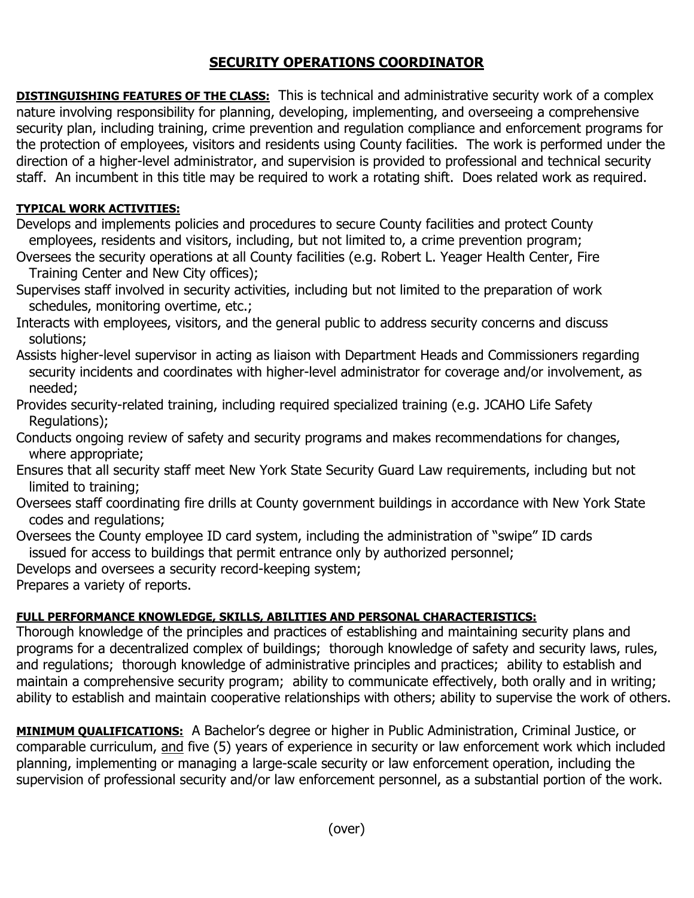## **SECURITY OPERATIONS COORDINATOR**

**DISTINGUISHING FEATURES OF THE CLASS:** This is technical and administrative security work of a complex nature involving responsibility for planning, developing, implementing, and overseeing a comprehensive security plan, including training, crime prevention and regulation compliance and enforcement programs for the protection of employees, visitors and residents using County facilities. The work is performed under the direction of a higher-level administrator, and supervision is provided to professional and technical security staff. An incumbent in this title may be required to work a rotating shift. Does related work as required.

## **TYPICAL WORK ACTIVITIES:**

Develops and implements policies and procedures to secure County facilities and protect County employees, residents and visitors, including, but not limited to, a crime prevention program;

Oversees the security operations at all County facilities (e.g. Robert L. Yeager Health Center, Fire Training Center and New City offices);

Supervises staff involved in security activities, including but not limited to the preparation of work schedules, monitoring overtime, etc.;

Interacts with employees, visitors, and the general public to address security concerns and discuss solutions;

Assists higher-level supervisor in acting as liaison with Department Heads and Commissioners regarding security incidents and coordinates with higher-level administrator for coverage and/or involvement, as needed;

Provides security-related training, including required specialized training (e.g. JCAHO Life Safety Regulations);

Conducts ongoing review of safety and security programs and makes recommendations for changes, where appropriate;

Ensures that all security staff meet New York State Security Guard Law requirements, including but not limited to training;

Oversees staff coordinating fire drills at County government buildings in accordance with New York State codes and regulations;

Oversees the County employee ID card system, including the administration of "swipe" ID cards issued for access to buildings that permit entrance only by authorized personnel;

Develops and oversees a security record-keeping system;

Prepares a variety of reports.

## **FULL PERFORMANCE KNOWLEDGE, SKILLS, ABILITIES AND PERSONAL CHARACTERISTICS:**

Thorough knowledge of the principles and practices of establishing and maintaining security plans and programs for a decentralized complex of buildings; thorough knowledge of safety and security laws, rules, and regulations; thorough knowledge of administrative principles and practices; ability to establish and maintain a comprehensive security program; ability to communicate effectively, both orally and in writing; ability to establish and maintain cooperative relationships with others; ability to supervise the work of others.

**MINIMUM QUALIFICATIONS:** A Bachelor's degree or higher in Public Administration, Criminal Justice, or comparable curriculum, and five (5) years of experience in security or law enforcement work which included planning, implementing or managing a large-scale security or law enforcement operation, including the supervision of professional security and/or law enforcement personnel, as a substantial portion of the work.